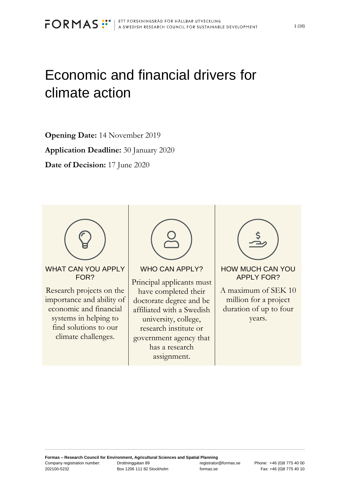# Economic and financial drivers for climate action

**Opening Date:** 14 November 2019 **Application Deadline:** 30 January 2020 **Date of Decision:** 17 June 2020



WHAT CAN YOU APPI Y FOR?

Research projects on the importance and ability of economic and financial systems in helping to find solutions to our climate challenges.



WHO CAN APPLY?

Principal applicants must have completed their doctorate degree and be affiliated with a Swedish university, college, research institute or government agency that has a research assignment.



HOW MUCH CAN YOU APPLY FOR?

A maximum of SEK 10 million for a project duration of up to four years.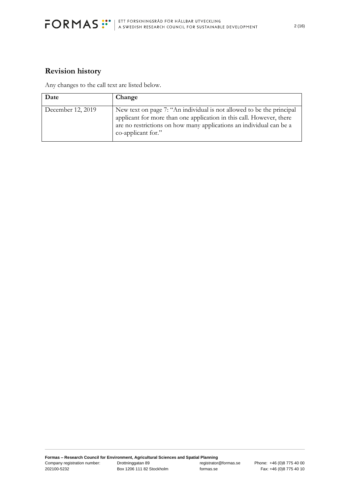

### **Revision history**

Any changes to the call text are listed below.

| Date              | Change                                                                                                                                                                                                                                     |
|-------------------|--------------------------------------------------------------------------------------------------------------------------------------------------------------------------------------------------------------------------------------------|
| December 12, 2019 | New text on page 7: "An individual is not allowed to be the principal<br>applicant for more than one application in this call. However, there<br>are no restrictions on how many applications an individual can be a<br>co-applicant for." |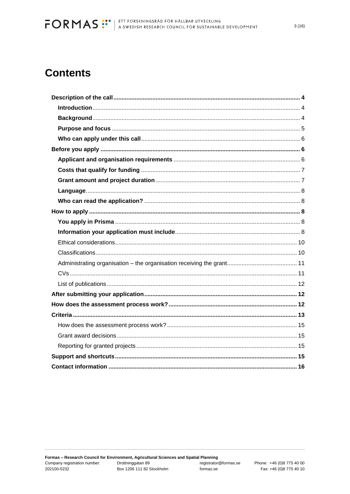## **Contents**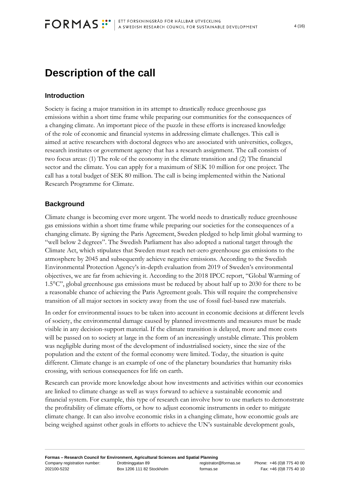## <span id="page-3-0"></span>**Description of the call**

#### <span id="page-3-1"></span>**Introduction**

Society is facing a major transition in its attempt to drastically reduce greenhouse gas emissions within a short time frame while preparing our communities for the consequences of a changing climate. An important piece of the puzzle in these efforts is increased knowledge of the role of economic and financial systems in addressing climate challenges. This call is aimed at active researchers with doctoral degrees who are associated with universities, colleges, research institutes or government agency that has a research assignment. The call consists of two focus areas: (1) The role of the economy in the climate transition and (2) The financial sector and the climate. You can apply for a maximum of SEK 10 million for one project. The call has a total budget of SEK 80 million. The call is being implemented within the National Research Programme for Climate.

#### <span id="page-3-2"></span>**Background**

Climate change is becoming ever more urgent. The world needs to drastically reduce greenhouse gas emissions within a short time frame while preparing our societies for the consequences of a changing climate. By signing the Paris Agreement, Sweden pledged to help limit global warming to "well below 2 degrees". The Swedish Parliament has also adopted a national target through the Climate Act, which stipulates that Sweden must reach net-zero greenhouse gas emissions to the atmosphere by 2045 and subsequently achieve negative emissions. According to the Swedish Environmental Protection Agency's in-depth evaluation from 2019 of Sweden's environmental objectives, we are far from achieving it. According to the 2018 IPCC report, "Global Warming of 1.5°C", global greenhouse gas emissions must be reduced by about half up to 2030 for there to be a reasonable chance of achieving the Paris Agreement goals. This will require the comprehensive transition of all major sectors in society away from the use of fossil fuel-based raw materials.

In order for environmental issues to be taken into account in economic decisions at different levels of society, the environmental damage caused by planned investments and measures must be made visible in any decision-support material. If the climate transition is delayed, more and more costs will be passed on to society at large in the form of an increasingly unstable climate. This problem was negligible during most of the development of industrialised society, since the size of the population and the extent of the formal economy were limited. Today, the situation is quite different. Climate change is an example of one of the planetary boundaries that humanity risks crossing, with serious consequences for life on earth.

Research can provide more knowledge about how investments and activities within our economies are linked to climate change as well as ways forward to achieve a sustainable economic and financial system. For example, this type of research can involve how to use markets to demonstrate the profitability of climate efforts, or how to adjust economic instruments in order to mitigate climate change. It can also involve economic risks in a changing climate, how economic goals are being weighed against other goals in efforts to achieve the UN's sustainable development goals,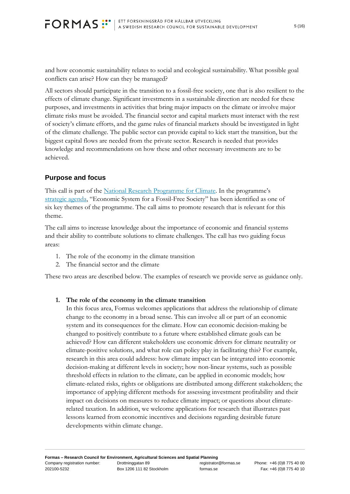and how economic sustainability relates to social and ecological sustainability. What possible goal conflicts can arise? How can they be managed?

All sectors should participate in the transition to a fossil-free society, one that is also resilient to the effects of climate change. Significant investments in a sustainable direction are needed for these purposes, and investments in activities that bring major impacts on the climate or involve major climate risks must be avoided. The financial sector and capital markets must interact with the rest of society's climate efforts, and the game rules of financial markets should be investigated in light of the climate challenge. The public sector can provide capital to kick start the transition, but the biggest capital flows are needed from the private sector. Research is needed that provides knowledge and recommendations on how these and other necessary investments are to be achieved.

#### <span id="page-4-0"></span>**Purpose and focus**

This call is part of the [National Research Programme for Climate.](https://formas.se/en/start-page/analyses-and-results/reports/2019-05-14-research-for-meeting-the--challenges-of-climate-change.html) In the programme's [strategic agenda](https://formas.se/download/18.2d01d90c16a5883f2b522e3c/1557231042125/strategic%20research%20agenda%20climate%20English.pdf), "Economic System for a Fossil-Free Society" has been identified as one of six key themes of the programme. The call aims to promote research that is relevant for this theme.

The call aims to increase knowledge about the importance of economic and financial systems and their ability to contribute solutions to climate challenges. The call has two guiding focus areas:

- 1. The role of the economy in the climate transition
- 2. The financial sector and the climate

These two areas are described below. The examples of research we provide serve as guidance only.

#### **1. The role of the economy in the climate transition**

In this focus area, Formas welcomes applications that address the relationship of climate change to the economy in a broad sense. This can involve all or part of an economic system and its consequences for the climate. How can economic decision-making be changed to positively contribute to a future where established climate goals can be achieved? How can different stakeholders use economic drivers for climate neutrality or climate-positive solutions, and what role can policy play in facilitating this? For example, research in this area could address: how climate impact can be integrated into economic decision-making at different levels in society; how non-linear systems, such as possible threshold effects in relation to the climate, can be applied in economic models; how climate-related risks, rights or obligations are distributed among different stakeholders; the importance of applying different methods for assessing investment profitability and their impact on decisions on measures to reduce climate impact; or questions about climaterelated taxation. In addition, we welcome applications for research that illustrates past lessons learned from economic incentives and decisions regarding desirable future developments within climate change.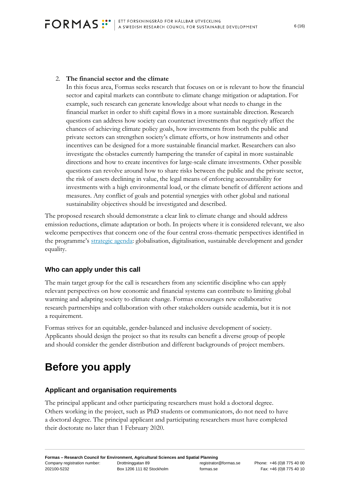#### 2. **The financial sector and the climate**

In this focus area, Formas seeks research that focuses on or is relevant to how the financial sector and capital markets can contribute to climate change mitigation or adaptation. For example, such research can generate knowledge about what needs to change in the financial market in order to shift capital flows in a more sustainable direction. Research questions can address how society can counteract investments that negatively affect the chances of achieving climate policy goals, how investments from both the public and private sectors can strengthen society's climate efforts, or how instruments and other incentives can be designed for a more sustainable financial market. Researchers can also investigate the obstacles currently hampering the transfer of capital in more sustainable directions and how to create incentives for large-scale climate investments. Other possible questions can revolve around how to share risks between the public and the private sector, the risk of assets declining in value, the legal means of enforcing accountability for investments with a high environmental load, or the climate benefit of different actions and measures. Any conflict of goals and potential synergies with other global and national sustainability objectives should be investigated and described.

The proposed research should demonstrate a clear link to climate change and should address emission reductions, climate adaptation or both. In projects where it is considered relevant, we also welcome perspectives that concern one of the four central cross-thematic perspectives identified in the programme's [strategic agenda:](https://formas.se/download/18.2d01d90c16a5883f2b522e3c/1557231042125/strategic%20research%20agenda%20climate%20English.pdf) globalisation, digitalisation, sustainable development and gender equality.

### <span id="page-5-0"></span>**Who can apply under this call**

The main target group for the call is researchers from any scientific discipline who can apply relevant perspectives on how economic and financial systems can contribute to limiting global warming and adapting society to climate change. Formas encourages new collaborative research partnerships and collaboration with other stakeholders outside academia, but it is not a requirement.

Formas strives for an equitable, gender-balanced and inclusive development of society. Applicants should design the project so that its results can benefit a diverse group of people and should consider the gender distribution and different backgrounds of project members.

## <span id="page-5-1"></span>**Before you apply**

#### <span id="page-5-2"></span>**Applicant and organisation requirements**

The principal applicant and other participating researchers must hold a doctoral degree. Others working in the project, such as PhD students or communicators, do not need to have a doctoral degree. The principal applicant and participating researchers must have completed their doctorate no later than 1 February 2020.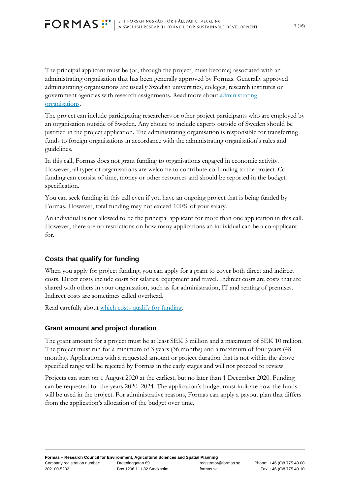# <span id="page-6-2"></span>**FORMAS** :<sup>::•</sup> | ETT FORSKNINGSRÅD FÖR HÅLLBAR UTVECKLING

The principal applicant must be (or, through the project, must become) associated with an administrating organisation that has been generally approved by Formas. Generally approved administrating organisations are usually Swedish universities, colleges, research institutes or government agencies with research assignments. Read more about [administrating](https://www.formas.se/en/start-page/applying-for-funding/how-it-works/who-can-apply-for-funding/who-can-become-an-administrating-organisation.html)  [organisations.](https://www.formas.se/en/start-page/applying-for-funding/how-it-works/who-can-apply-for-funding/who-can-become-an-administrating-organisation.html)

The project can include participating researchers or other project participants who are employed by an organisation outside of Sweden. Any choice to include experts outside of Sweden should be justified in the project application. The administrating organisation is responsible for transferring funds to foreign organisations in accordance with the administrating organisation's rules and guidelines.

In this call, Formas does not grant funding to organisations engaged in economic activity. However, all types of organisations are welcome to contribute co-funding to the project. Cofunding can consist of time, money or other resources and should be reported in the budget specification.

You can seek funding in this call even if you have an ongoing project that is being funded by Formas. However, total funding may not exceed 100% of your salary.

An individual is not allowed to be the principal applicant for more than one application in this call. However, there are no restrictions on how many applications an individual can be a co-applicant for.

### <span id="page-6-0"></span>**Costs that qualify for funding**

When you apply for project funding, you can apply for a grant to cover both direct and indirect costs. Direct costs include costs for salaries, equipment and travel. Indirect costs are costs that are shared with others in your organisation, such as for administration, IT and renting of premises. Indirect costs are sometimes called overhead.

Read carefully about [which costs qualify for funding.](https://formas.se/en/start-page/applying-for-funding/how-it-works/projects-that-qualify-for-funding.html)

### <span id="page-6-1"></span>**Grant amount and project duration**

The grant amount for a project must be at least SEK 3 million and a maximum of SEK 10 million. The project must run for a minimum of 3 years (36 months) and a maximum of four years (48 months). Applications with a requested amount or project duration that is not within the above specified range will be rejected by Formas in the early stages and will not proceed to review.

Projects can start on 1 August 2020 at the earliest, but no later than 1 December 2020. Funding can be requested for the years 2020–2024. The application's budget must indicate how the funds will be used in the project. For administrative reasons, Formas can apply a payout plan that differs from the application's allocation of the budget over time.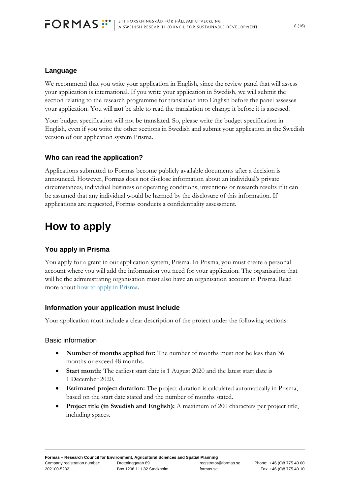#### **Language**

We recommend that you write your application in English, since the review panel that will assess your application is international. If you write your application in Swedish, we will submit the section relating to the research programme for translation into English before the panel assesses your application. You will **not** be able to read the translation or change it before it is assessed.

Your budget specification will not be translated. So, please write the budget specification in English, even if you write the other sections in Swedish and submit your application in the Swedish version of our application system Prisma.

#### <span id="page-7-0"></span>**Who can read the application?**

Applications submitted to Formas become publicly available documents after a decision is announced. However, Formas does not disclose information about an individual's private circumstances, individual business or operating conditions, inventions or research results if it can be assumed that any individual would be harmed by the disclosure of this information. If applications are requested, Formas conducts a confidentiality assessment.

## <span id="page-7-1"></span>**How to apply**

#### <span id="page-7-2"></span>**You apply in Prisma**

You apply for a grant in our application system, Prisma. In Prisma, you must create a personal account where you will add the information you need for your application. The organisation that will be the administrating organisation must also have an organisation account in Prisma. Read more about [how to apply in Prisma.](https://www.formas.se/en/start-page/applying-for-funding/how-it-works/good-to-know-before-you-apply/accounts-in-prisma-for-your-applications.html)

#### <span id="page-7-3"></span>**Information your application must include**

Your application must include a clear description of the project under the following sections:

#### Basic information

- **Number of months applied for:** The number of months must not be less than 36 months or exceed 48 months.
- **Start month:** The earliest start date is 1 August 2020 and the latest start date is 1 December 2020.
- **Estimated project duration:** The project duration is calculated automatically in Prisma, based on the start date stated and the number of months stated.
- **Project title (in Swedish and English):** A maximum of 200 characters per project title, including spaces.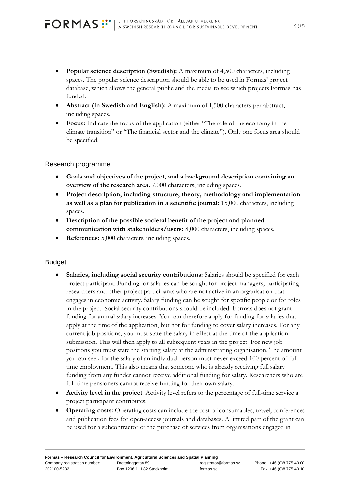- **Popular science description (Swedish):** A maximum of 4,500 characters, including spaces. The popular science description should be able to be used in Formas' project database, which allows the general public and the media to see which projects Formas has funded.
- **Abstract (in Swedish and English):** A maximum of 1,500 characters per abstract, including spaces.
- **Focus:** Indicate the focus of the application (either "The role of the economy in the climate transition" or "The financial sector and the climate"). Only one focus area should be specified.

#### Research programme

- **Goals and objectives of the project, and a background description containing an overview of the research area.** 7,000 characters, including spaces.
- **Project description, including structure, theory, methodology and implementation as well as a plan for publication in a scientific journal:** 15,000 characters, including spaces.
- **Description of the possible societal benefit of the project and planned communication with stakeholders/users:** 8,000 characters, including spaces.
- **References:** 5,000 characters, including spaces.

#### **Budget**

- **Salaries, including social security contributions:** Salaries should be specified for each project participant. Funding for salaries can be sought for project managers, participating researchers and other project participants who are not active in an organisation that engages in economic activity. Salary funding can be sought for specific people or for roles in the project. Social security contributions should be included. Formas does not grant funding for annual salary increases. You can therefore apply for funding for salaries that apply at the time of the application, but not for funding to cover salary increases. For any current job positions, you must state the salary in effect at the time of the application submission. This will then apply to all subsequent years in the project. For new job positions you must state the starting salary at the administrating organisation. The amount you can seek for the salary of an individual person must never exceed 100 percent of fulltime employment. This also means that someone who is already receiving full salary funding from any funder cannot receive additional funding for salary. Researchers who are full-time pensioners cannot receive funding for their own salary.
- **Activity level in the project:** Activity level refers to the percentage of full-time service a project participant contributes.
- **Operating costs:** Operating costs can include the cost of consumables, travel, conferences and publication fees for open-access journals and databases. A limited part of the grant can be used for a subcontractor or the purchase of services from organisations engaged in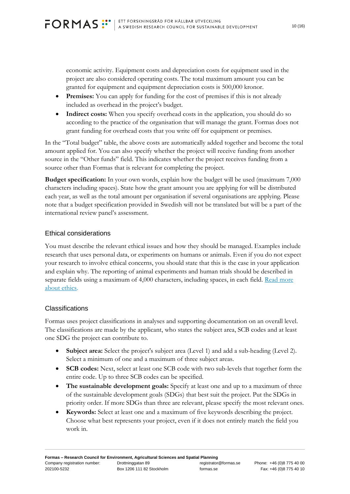<span id="page-9-2"></span>economic activity. Equipment costs and depreciation costs for equipment used in the project are also considered operating costs. The total maximum amount you can be granted for equipment and equipment depreciation costs is 500,000 kronor.

- **Premises:** You can apply for funding for the cost of premises if this is not already included as overhead in the project's budget.
- Indirect costs: When you specify overhead costs in the application, you should do so according to the practice of the organisation that will manage the grant. Formas does not grant funding for overhead costs that you write off for equipment or premises.

In the "Total budget" table, the above costs are automatically added together and become the total amount applied for. You can also specify whether the project will receive funding from another source in the "Other funds" field. This indicates whether the project receives funding from a source other than Formas that is relevant for completing the project.

**Budget specification:** In your own words, explain how the budget will be used (maximum 7,000 characters including spaces). State how the grant amount you are applying for will be distributed each year, as well as the total amount per organisation if several organisations are applying. Please note that a budget specification provided in Swedish will not be translated but will be a part of the international review panel's assessment.

#### <span id="page-9-0"></span>Ethical considerations

You must describe the relevant ethical issues and how they should be managed. Examples include research that uses personal data, or experiments on humans or animals. Even if you do not expect your research to involve ethical concerns, you should state that this is the case in your application and explain why. The reporting of animal experiments and human trials should be described in separate fields using a maximum of 4,000 characters, including spaces, in each field. Read more [about ethics.](https://formas.se/en/start-page/applying-for-funding/how-it-works/good-to-know-before-you-apply.html)

#### <span id="page-9-1"></span>Classifications

Formas uses project classifications in analyses and supporting documentation on an overall level. The classifications are made by the applicant, who states the subject area, SCB codes and at least one SDG the project can contribute to.

- **Subject area:** Select the project's subject area (Level 1) and add a sub-heading (Level 2). Select a minimum of one and a maximum of three subject areas.
- **SCB codes:** Next, select at least one SCB code with two sub-levels that together form the entire code. Up to three SCB codes can be specified.
- **The sustainable development goals:** Specify at least one and up to a maximum of three of the sustainable development goals (SDGs) that best suit the project. Put the SDGs in priority order. If more SDGs than three are relevant, please specify the most relevant ones.
- **Keywords:** Select at least one and a maximum of five keywords describing the project. Choose what best represents your project, even if it does not entirely match the field you work in.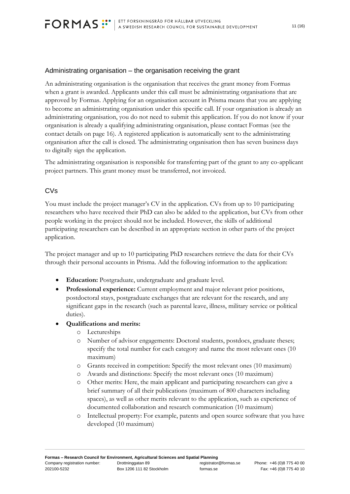<span id="page-10-1"></span>

#### Administrating organisation – the organisation receiving the grant

An administrating organisation is the organisation that receives the grant money from Formas when a grant is awarded. Applicants under this call must be administrating organisations that are approved by Formas. Applying for an organisation account in Prisma means that you are applying to become an administrating organisation under this specific call. If your organisation is already an administrating organisation, you do not need to submit this application. If you do not know if your organisation is already a qualifying administrating organisation, please contact Formas (see the contact details on page 16). A registered application is automatically sent to the administrating organisation after the call is closed. The administrating organisation then has seven business days to digitally sign the application.

The administrating organisation is responsible for transferring part of the grant to any co-applicant project partners. This grant money must be transferred, not invoiced.

#### <span id="page-10-0"></span>CVs

You must include the project manager's CV in the application. CVs from up to 10 participating researchers who have received their PhD can also be added to the application, but CVs from other people working in the project should not be included. However, the skills of additional participating researchers can be described in an appropriate section in other parts of the project application.

The project manager and up to 10 participating PhD researchers retrieve the data for their CVs through their personal accounts in Prisma. Add the following information to the application:

- **Education:** Postgraduate, undergraduate and graduate level.
- **Professional experience:** Current employment and major relevant prior positions, postdoctoral stays, postgraduate exchanges that are relevant for the research, and any significant gaps in the research (such as parental leave, illness, military service or political duties).
- **Qualifications and merits:**
	- o Lectureships
	- o Number of advisor engagements: Doctoral students, postdocs, graduate theses; specify the total number for each category and name the most relevant ones (10 maximum)
	- o Grants received in competition: Specify the most relevant ones (10 maximum)
	- o Awards and distinctions: Specify the most relevant ones (10 maximum)
	- o Other merits: Here, the main applicant and participating researchers can give a brief summary of all their publications (maximum of 800 characters including spaces), as well as other merits relevant to the application, such as experience of documented collaboration and research communication (10 maximum)
	- o Intellectual property: For example, patents and open source software that you have developed (10 maximum)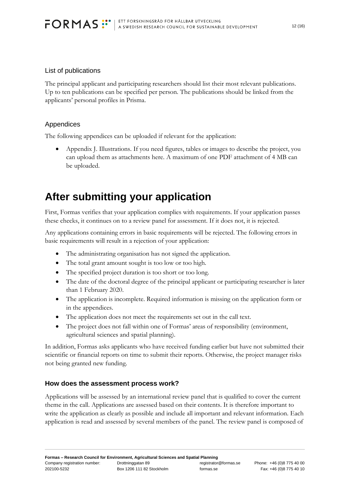#### List of publications

The principal applicant and participating researchers should list their most relevant publications. Up to ten publications can be specified per person. The publications should be linked from the applicants' personal profiles in Prisma.

#### Appendices

The following appendices can be uploaded if relevant for the application:

• Appendix J. Illustrations. If you need figures, tables or images to describe the project, you can upload them as attachments here. A maximum of one PDF attachment of 4 MB can be uploaded.

## <span id="page-11-0"></span>**After submitting your application**

First, Formas verifies that your application complies with requirements. If your application passes these checks, it continues on to a review panel for assessment. If it does not, it is rejected.

Any applications containing errors in basic requirements will be rejected. The following errors in basic requirements will result in a rejection of your application:

- The administrating organisation has not signed the application.
- The total grant amount sought is too low or too high.
- The specified project duration is too short or too long.
- The date of the doctoral degree of the principal applicant or participating researcher is later than 1 February 2020.
- The application is incomplete. Required information is missing on the application form or in the appendices.
- The application does not meet the requirements set out in the call text.
- The project does not fall within one of Formas' areas of responsibility (environment, agricultural sciences and spatial planning).

In addition, Formas asks applicants who have received funding earlier but have not submitted their scientific or financial reports on time to submit their reports. Otherwise, the project manager risks not being granted new funding.

#### <span id="page-11-1"></span>**How does the assessment process work?**

Applications will be assessed by an international review panel that is qualified to cover the current theme in the call. Applications are assessed based on their contents. It is therefore important to write the application as clearly as possible and include all important and relevant information. Each application is read and assessed by several members of the panel. The review panel is composed of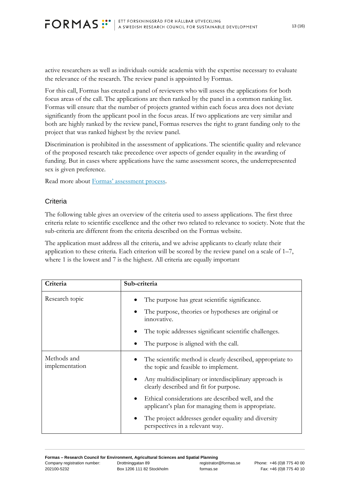active researchers as well as individuals outside academia with the expertise necessary to evaluate the relevance of the research. The review panel is appointed by Formas.

For this call, Formas has created a panel of reviewers who will assess the applications for both focus areas of the call. The applications are then ranked by the panel in a common ranking list. Formas will ensure that the number of projects granted within each focus area does not deviate significantly from the applicant pool in the focus areas. If two applications are very similar and both are highly ranked by the review panel, Formas reserves the right to grant funding only to the project that was ranked highest by the review panel.

Discrimination is prohibited in the assessment of applications. The scientific quality and relevance of the proposed research take precedence over aspects of gender equality in the awarding of funding. But in cases where applications have the same assessment scores, the underrepresented sex is given preference.

Read more about [Formas' assessment process](https://www.formas.se/en/start-page/applying-for-funding/how-it-works/the-application-assessment-process.html).

#### <span id="page-12-0"></span>**Criteria**

The following table gives an overview of the criteria used to assess applications. The first three criteria relate to scientific excellence and the other two related to relevance to society. Note that the sub-criteria are different from the criteria described on the Formas website.

The application must address all the criteria, and we advise applicants to clearly relate their application to these criteria. Each criterion will be scored by the review panel on a scale of 1–7, where 1 is the lowest and 7 is the highest. All criteria are equally important

| Criteria                      | Sub-criteria                                                                                                         |
|-------------------------------|----------------------------------------------------------------------------------------------------------------------|
| Research topic                | The purpose has great scientific significance.<br>The purpose, theories or hypotheses are original or<br>innovative. |
|                               | The topic addresses significant scientific challenges.                                                               |
|                               | The purpose is aligned with the call.                                                                                |
| Methods and<br>implementation | The scientific method is clearly described, appropriate to<br>the topic and feasible to implement.                   |
|                               | Any multidisciplinary or interdisciplinary approach is<br>clearly described and fit for purpose.                     |
|                               | Ethical considerations are described well, and the<br>applicant's plan for managing them is appropriate.             |
|                               | The project addresses gender equality and diversity<br>perspectives in a relevant way.                               |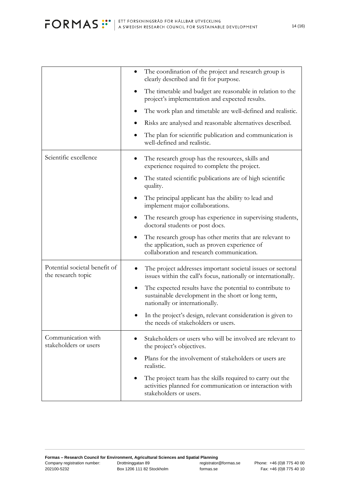<span id="page-13-0"></span>

|                                                     | The coordination of the project and research group is<br>clearly described and fit for purpose.                                                                     |
|-----------------------------------------------------|---------------------------------------------------------------------------------------------------------------------------------------------------------------------|
|                                                     | The timetable and budget are reasonable in relation to the<br>project's implementation and expected results.                                                        |
|                                                     | The work plan and timetable are well-defined and realistic.                                                                                                         |
|                                                     | Risks are analysed and reasonable alternatives described.                                                                                                           |
|                                                     | The plan for scientific publication and communication is<br>well-defined and realistic.                                                                             |
| Scientific excellence                               | The research group has the resources, skills and<br>experience required to complete the project.                                                                    |
|                                                     | The stated scientific publications are of high scientific<br>quality.                                                                                               |
|                                                     | The principal applicant has the ability to lead and<br>implement major collaborations.                                                                              |
|                                                     | The research group has experience in supervising students,<br>doctoral students or post docs.                                                                       |
|                                                     | The research group has other merits that are relevant to<br>$\bullet$<br>the application, such as proven experience of<br>collaboration and research communication. |
| Potential societal benefit of<br>the research topic | The project addresses important societal issues or sectoral<br>issues within the call's focus, nationally or internationally.                                       |
|                                                     | The expected results have the potential to contribute to<br>sustainable development in the short or long term,<br>nationally or internationally.                    |
|                                                     | In the project's design, relevant consideration is given to<br>the needs of stakeholders or users.                                                                  |
| Communication with<br>stakeholders or users         | Stakeholders or users who will be involved are relevant to<br>the project's objectives.                                                                             |
|                                                     | Plans for the involvement of stakeholders or users are<br>$\bullet$<br>realistic.                                                                                   |
|                                                     | The project team has the skills required to carry out the<br>activities planned for communication or interaction with<br>stakeholders or users.                     |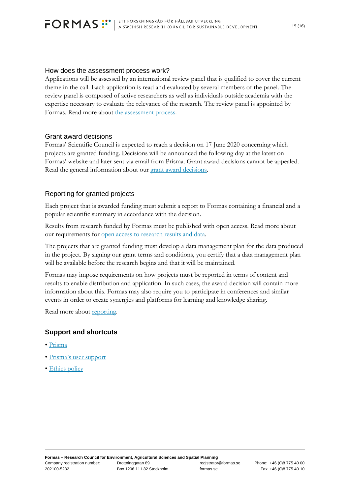#### <span id="page-14-3"></span>How does the assessment process work?

Applications will be assessed by an international review panel that is qualified to cover the current theme in the call. Each application is read and evaluated by several members of the panel. The review panel is composed of active researchers as well as individuals outside academia with the expertise necessary to evaluate the relevance of the research. The review panel is appointed by Formas. Read more about [the assessment process.](https://www.formas.se/en/start-page/applying-for-funding/how-it-works/the-application-assessment-process.html)

#### <span id="page-14-0"></span>Grant award decisions

Formas' Scientific Council is expected to reach a decision on 17 June 2020 concerning which projects are granted funding. Decisions will be announced the following day at the latest on Formas' website and later sent via email from Prisma. Grant award decisions cannot be appealed. Read the general information about our [grant award decisions.](https://formas.se/en/start-page/applying-for-funding/how-it-works/receiving-a-decision-on-your-application.html)

#### <span id="page-14-1"></span>Reporting for granted projects

Each project that is awarded funding must submit a report to Formas containing a financial and a popular scientific summary in accordance with the decision.

Results from research funded by Formas must be published with open access. Read more about our requirements for [open access to research results and data.](https://www.formas.se/en/start-page/applying-for-funding/how-it-works/good-to-know-before-you-apply.html#h-Openaccesstoresearchresultsanddata)

The projects that are granted funding must develop a data management plan for the data produced in the project. By signing our grant terms and conditions, you certify that a data management plan will be available before the research begins and that it will be maintained.

Formas may impose requirements on how projects must be reported in terms of content and results to enable distribution and application. In such cases, the award decision will contain more information about this. Formas may also require you to participate in conferences and similar events in order to create synergies and platforms for learning and knowledge sharing.

Read more about [reporting.](https://www.formas.se/en/start-page/applying-for-funding/how-it-works/how-to-report-expenses-and-results.html)

### <span id="page-14-2"></span>**Support and shortcuts**

- [Prisma](https://prisma.research.se/Start)
- • [Prisma's user support](https://prismasupport.research.se/user-manual.html)
- [Ethics policy](https://www.formas.se/en/start-page/about-formas/how-formas-is-governed/governing-documents.html)